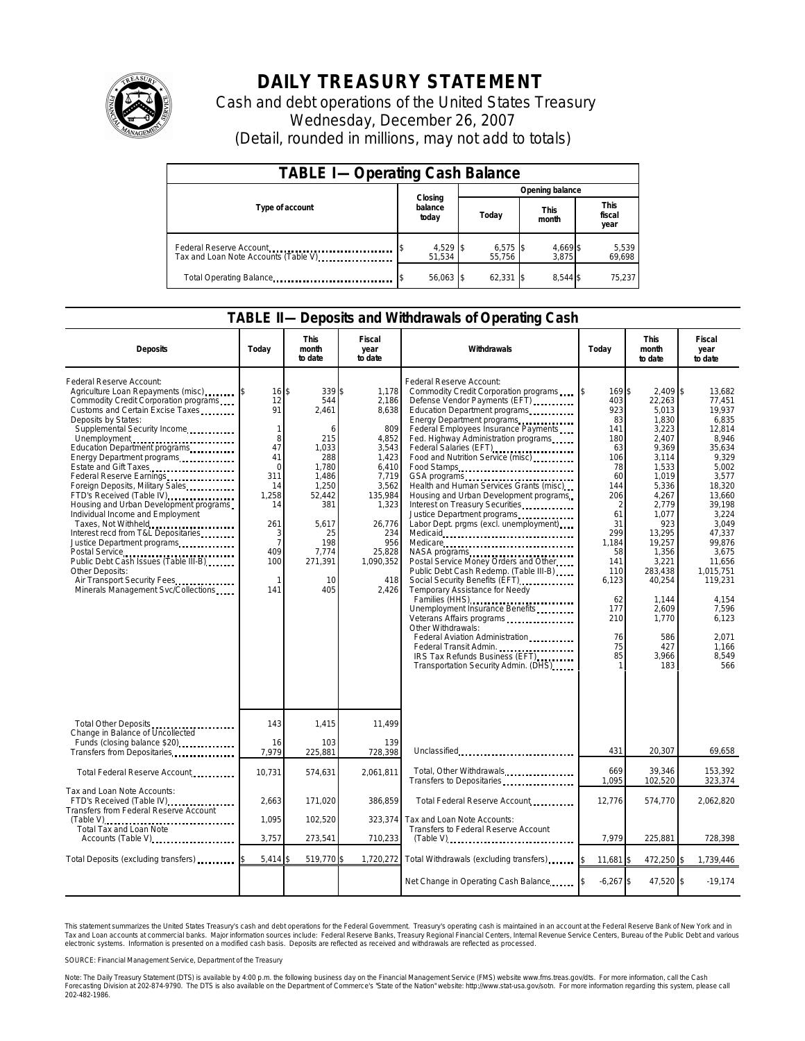

## **DAILY TREASURY STATEMENT**

Cash and debt operations of the United States Treasury Wednesday, December 26, 2007 (Detail, rounded in millions, may not add to totals)

| <b>TABLE I-Operating Cash Balance</b>                           |                             |                      |                      |                               |  |  |  |
|-----------------------------------------------------------------|-----------------------------|----------------------|----------------------|-------------------------------|--|--|--|
|                                                                 |                             | Opening balance      |                      |                               |  |  |  |
| Type of account                                                 | Closing<br>balance<br>today | Today                | <b>This</b><br>month | <b>This</b><br>fiscal<br>year |  |  |  |
| Federal Reserve Account<br>Tax and Loan Note Accounts (Table V) | 4,529 \$<br>51.534          | $6,575$ \$<br>55.756 | 4,669 \$<br>3.875    | 5,539<br>69,698               |  |  |  |
| Total Operating Balance                                         | 56,063 \$                   | 62,331               | 8.544 \$             | 75.237                        |  |  |  |

## **TABLE II—Deposits and Withdrawals of Operating Cash**

| <b>Deposits</b>                                                                                                                                                                                                                                                                                                                                                                                                                                                                                                                                                                                                                                                                                                           | Todav                                                                                                                                                   | <b>This</b><br>month<br>to date                                                                                                                             | Fiscal<br>year<br>to date                                                                                                                                               | Withdrawals                                                                                                                                                                                                                                                                                                                                                                                                                                                                                                                                                                                                                                                                                                                                                                                                                                                                                                                                                                         | Today                                                                                                                                                                                     | <b>This</b><br>month<br>to date                                                                                                                                                                                                                             | Fiscal<br>year<br>to date                                                                                                                                                                                                                                               |
|---------------------------------------------------------------------------------------------------------------------------------------------------------------------------------------------------------------------------------------------------------------------------------------------------------------------------------------------------------------------------------------------------------------------------------------------------------------------------------------------------------------------------------------------------------------------------------------------------------------------------------------------------------------------------------------------------------------------------|---------------------------------------------------------------------------------------------------------------------------------------------------------|-------------------------------------------------------------------------------------------------------------------------------------------------------------|-------------------------------------------------------------------------------------------------------------------------------------------------------------------------|-------------------------------------------------------------------------------------------------------------------------------------------------------------------------------------------------------------------------------------------------------------------------------------------------------------------------------------------------------------------------------------------------------------------------------------------------------------------------------------------------------------------------------------------------------------------------------------------------------------------------------------------------------------------------------------------------------------------------------------------------------------------------------------------------------------------------------------------------------------------------------------------------------------------------------------------------------------------------------------|-------------------------------------------------------------------------------------------------------------------------------------------------------------------------------------------|-------------------------------------------------------------------------------------------------------------------------------------------------------------------------------------------------------------------------------------------------------------|-------------------------------------------------------------------------------------------------------------------------------------------------------------------------------------------------------------------------------------------------------------------------|
| Federal Reserve Account:<br>Agriculture Loan Repayments (misc) [15]<br>Commodity Credit Corporation programs<br>Customs and Certain Excise Taxes<br>Deposits by States:<br>Supplemental Security Income<br>Unemployment<br>Education Department programs<br>Energy Department programs<br>Estate and Gift Taxes<br>Federal Reserve Earnings<br>Foreign Deposits, Military Sales<br>FTD's Received (Table IV)<br>Housing and Urban Development programs<br>Individual Income and Employment<br>Taxes, Not Withheld<br>Interest recd from T&L Depositaries<br>Justice Department programs<br>Public Debt Cash Issues (Table III-B)<br>Other Deposits:<br>Air Transport Security Fees<br>Minerals Management Svc/Collections | 16 <sup>1</sup><br>12<br>91<br>$\mathbf{1}$<br>8<br>47<br>41<br>$\Omega$<br>311<br>14<br>1,258<br>14<br>261<br>3<br>$\overline{7}$<br>409<br>100<br>141 | 339 \$<br>\$<br>544<br>2.461<br>6<br>215<br>1.033<br>288<br>1,780<br>1,486<br>1.250<br>52,442<br>381<br>5.617<br>25<br>198<br>7.774<br>271,391<br>10<br>405 | 1,178<br>2,186<br>8.638<br>809<br>4,852<br>3,543<br>1,423<br>6.410<br>7,719<br>3,562<br>135,984<br>1,323<br>26,776<br>234<br>956<br>25,828<br>1,090,352<br>418<br>2,426 | Federal Reserve Account:<br>Commodity Credit Corporation programs<br>Defense Vendor Payments (EFT)<br>Education Department programs<br>Energy Department programs<br>Federal Employees Insurance Payments<br>Fed. Highway Administration programs<br>Federal Salaries (EFT)<br>Food and Nutrition Service (misc)<br>Food Stamps<br>GSA programs<br>Health and Human Services Grants (misc)<br>Housing and Urban Development programs<br>Interest on Treasury Securities<br>Justice Department programs<br>Labor Dept. prgms (excl. unemployment)<br>Medicare<br>NASA programs<br>Postal Service Money Orders and Other<br>Public Debt Cash Redemp. (Table III-B)<br>Social Security Benefits (EFT)<br>Temporary Assistance for Needy<br>Families (HHS)<br>Unemployment Insurance Benefits<br>Veterans Affairs programs<br>Other Withdrawals:<br>Federal Aviation Administration<br>Federal Transit Admin.<br>IRS Tax Refunds Business (EFT)<br>Transportation Security Admin. (DHS) | I\$<br>169\$<br>403<br>923<br>83<br>141<br>180<br>63<br>106<br>78<br>60<br>144<br>206<br>2<br>61<br>31<br>299<br>1.184<br>58<br>141<br>110<br>6,123<br>62<br>177<br>210<br>76<br>75<br>85 | $2.409$ \$<br>22,263<br>5.013<br>1,830<br>3,223<br>2,407<br>9.369<br>3,114<br>1,533<br>1,019<br>5,336<br>4,267<br>2,779<br>1.077<br>923<br>13,295<br>19.257<br>1,356<br>3.221<br>283,438<br>40,254<br>1,144<br>2.609<br>1,770<br>586<br>427<br>3.966<br>183 | 13.682<br>77.451<br>19.937<br>6,835<br>12.814<br>8.946<br>35.634<br>9,329<br>5.002<br>3.577<br>18.320<br>13.660<br>39.198<br>3.224<br>3.049<br>47.337<br>99.876<br>3.675<br>11.656<br>1.015.751<br>119,231<br>4,154<br>7.596<br>6.123<br>2,071<br>1,166<br>8.549<br>566 |
| Total Other Deposits<br>Change in Balance of Uncollected<br>Funds (closing balance \$20)                                                                                                                                                                                                                                                                                                                                                                                                                                                                                                                                                                                                                                  | 143<br>16                                                                                                                                               | 1,415<br>103                                                                                                                                                | 11,499<br>139                                                                                                                                                           |                                                                                                                                                                                                                                                                                                                                                                                                                                                                                                                                                                                                                                                                                                                                                                                                                                                                                                                                                                                     |                                                                                                                                                                                           |                                                                                                                                                                                                                                                             |                                                                                                                                                                                                                                                                         |
| Transfers from Depositaries<br>                                                                                                                                                                                                                                                                                                                                                                                                                                                                                                                                                                                                                                                                                           | 7.979                                                                                                                                                   | 225,881                                                                                                                                                     | 728,398                                                                                                                                                                 | Unclassified                                                                                                                                                                                                                                                                                                                                                                                                                                                                                                                                                                                                                                                                                                                                                                                                                                                                                                                                                                        | 431                                                                                                                                                                                       | 20,307                                                                                                                                                                                                                                                      | 69,658                                                                                                                                                                                                                                                                  |
| Total Federal Reserve Account                                                                                                                                                                                                                                                                                                                                                                                                                                                                                                                                                                                                                                                                                             | 10,731                                                                                                                                                  | 574,631                                                                                                                                                     | 2,061,811                                                                                                                                                               | Total, Other Withdrawals<br>Transfers to Depositaries                                                                                                                                                                                                                                                                                                                                                                                                                                                                                                                                                                                                                                                                                                                                                                                                                                                                                                                               | 669<br>1,095                                                                                                                                                                              | 39,346<br>102,520                                                                                                                                                                                                                                           | 153,392<br>323,374                                                                                                                                                                                                                                                      |
| Tax and Loan Note Accounts:<br>FTD's Received (Table IV)<br>Transfers from Federal Reserve Account                                                                                                                                                                                                                                                                                                                                                                                                                                                                                                                                                                                                                        | 2,663                                                                                                                                                   | 171,020                                                                                                                                                     | 386,859                                                                                                                                                                 | Total Federal Reserve Account                                                                                                                                                                                                                                                                                                                                                                                                                                                                                                                                                                                                                                                                                                                                                                                                                                                                                                                                                       | 12,776                                                                                                                                                                                    | 574,770                                                                                                                                                                                                                                                     | 2,062,820                                                                                                                                                                                                                                                               |
| Total Tax and Loan Note                                                                                                                                                                                                                                                                                                                                                                                                                                                                                                                                                                                                                                                                                                   | 1.095                                                                                                                                                   | 102,520                                                                                                                                                     | 323,374                                                                                                                                                                 | Tax and Loan Note Accounts:<br>Transfers to Federal Reserve Account                                                                                                                                                                                                                                                                                                                                                                                                                                                                                                                                                                                                                                                                                                                                                                                                                                                                                                                 |                                                                                                                                                                                           |                                                                                                                                                                                                                                                             |                                                                                                                                                                                                                                                                         |
| Accounts (Table V)                                                                                                                                                                                                                                                                                                                                                                                                                                                                                                                                                                                                                                                                                                        | 3,757                                                                                                                                                   | 273,541                                                                                                                                                     | 710,233                                                                                                                                                                 | $(Table V)$                                                                                                                                                                                                                                                                                                                                                                                                                                                                                                                                                                                                                                                                                                                                                                                                                                                                                                                                                                         | 7,979                                                                                                                                                                                     | 225,881                                                                                                                                                                                                                                                     | 728,398                                                                                                                                                                                                                                                                 |
| Total Deposits (excluding transfers)                                                                                                                                                                                                                                                                                                                                                                                                                                                                                                                                                                                                                                                                                      | 5,414                                                                                                                                                   | 519,770 \$                                                                                                                                                  | 1,720,272                                                                                                                                                               | Total Withdrawals (excluding transfers)                                                                                                                                                                                                                                                                                                                                                                                                                                                                                                                                                                                                                                                                                                                                                                                                                                                                                                                                             | $11.681$ S                                                                                                                                                                                | 472,250 \$                                                                                                                                                                                                                                                  | 1,739,446                                                                                                                                                                                                                                                               |
|                                                                                                                                                                                                                                                                                                                                                                                                                                                                                                                                                                                                                                                                                                                           |                                                                                                                                                         |                                                                                                                                                             |                                                                                                                                                                         | Net Change in Operating Cash Balance                                                                                                                                                                                                                                                                                                                                                                                                                                                                                                                                                                                                                                                                                                                                                                                                                                                                                                                                                | $-6,267$ \$                                                                                                                                                                               | 47,520 \$                                                                                                                                                                                                                                                   | $-19,174$                                                                                                                                                                                                                                                               |

This statement summarizes the United States Treasury's cash and debt operations for the Federal Government. Treasury's operating cash is maintained in an account at the Federal Reserve Bank of New York and in<br>Tax and Loan narizes the United States Treasury's cash and debt operations for the Federal Government. Treasury's operating cash is maintained in an account at the Federal Reserve Bank of New York and in<br>nts at commercial banks. Major

SOURCE: Financial Management Service, Department of the Treasury

Note: The Daily Treasury Statement (DTS) is available by 4:00 p.m. the following business day on the Financial Management Service (FMS) website www.fms.treas.gov/dts. For more information, call the Cash<br>Forecasting Divisio 202-482-1986.